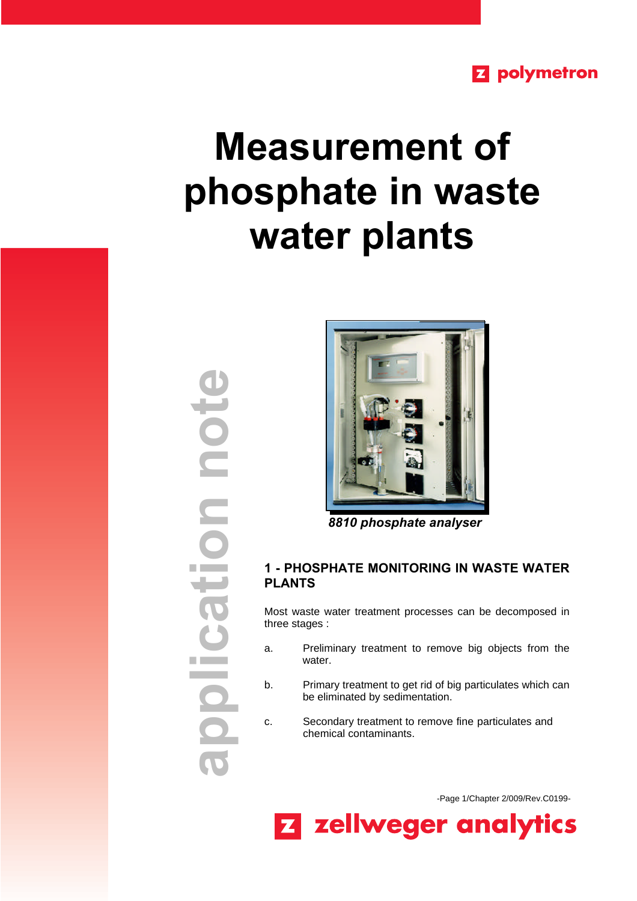## **Z** polymetron

# **Measurement of phosphate in waste water plants**

**application note**Pion ndit polica



 *8810 phosphate analyser*

### **1 - PHOSPHATE MONITORING IN WASTE WATER PLANTS**

Most waste water treatment processes can be decomposed in three stages :

- a. Preliminary treatment to remove big objects from the water.
- b. Primary treatment to get rid of big particulates which can be eliminated by sedimentation.
- c. Secondary treatment to remove fine particulates and chemical contaminants.

-Page 1/Chapter 2/009/Rev.C0199-

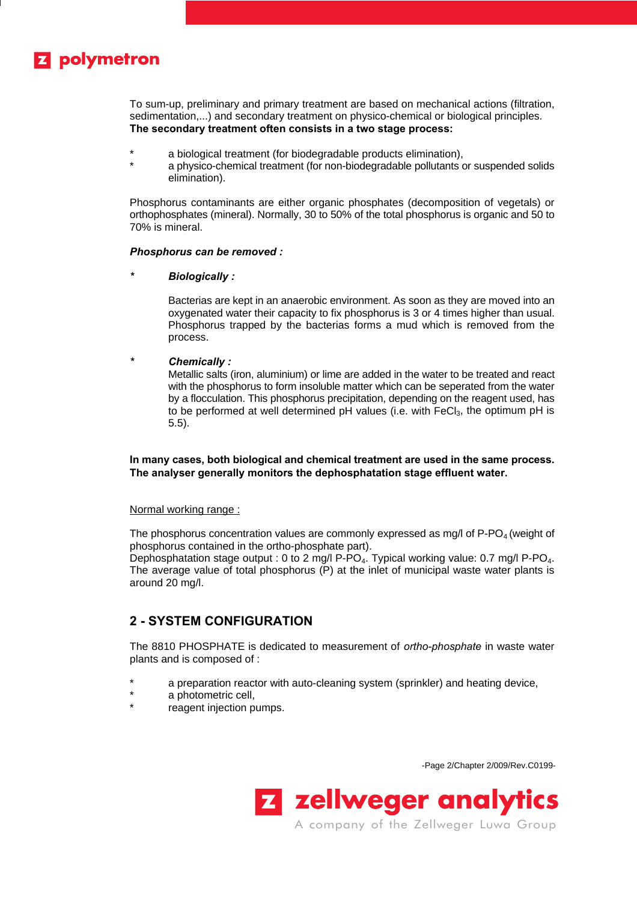# **Z** polymetron

To sum-up, preliminary and primary treatment are based on mechanical actions (filtration, sedimentation,...) and secondary treatment on physico-chemical or biological principles. **The secondary treatment often consists in a two stage process:**

- \* a biological treatment (for biodegradable products elimination),
- a physico-chemical treatment (for non-biodegradable pollutants or suspended solids elimination).

Phosphorus contaminants are either organic phosphates (decomposition of vegetals) or orthophosphates (mineral). Normally, 30 to 50% of the total phosphorus is organic and 50 to 70% is mineral.

#### *Phosphorus can be removed :*

*\* Biologically :*

Bacterias are kept in an anaerobic environment. As soon as they are moved into an oxygenated water their capacity to fix phosphorus is 3 or 4 times higher than usual. Phosphorus trapped by the bacterias forms a mud which is removed from the process.

#### *\* Chemically :*

Metallic salts (iron, aluminium) or lime are added in the water to be treated and react with the phosphorus to form insoluble matter which can be seperated from the water by a flocculation. This phosphorus precipitation, depending on the reagent used, has to be performed at well determined  $pH$  values (i.e. with  $FeCl<sub>3</sub>$ , the optimum  $pH$  is 5.5).

#### **In many cases, both biological and chemical treatment are used in the same process. The analyser generally monitors the dephosphatation stage effluent water.**

#### Normal working range :

The phosphorus concentration values are commonly expressed as mg/l of  $P$ -PO<sub>4</sub> (weight of phosphorus contained in the ortho-phosphate part).

Dephosphatation stage output : 0 to 2 mg/l P-PO<sub>4</sub>. Typical working value: 0.7 mg/l P-PO<sub>4</sub>. The average value of total phosphorus (P) at the inlet of municipal waste water plants is around 20 mg/l.

## **2 - SYSTEM CONFIGURATION**

The 8810 PHOSPHATE is dedicated to measurement of *ortho-phosphate* in waste water plants and is composed of :

- \* a preparation reactor with auto-cleaning system (sprinkler) and heating device,
- a photometric cell,
- reagent injection pumps.

-Page 2/Chapter 2/009/Rev.C0199-